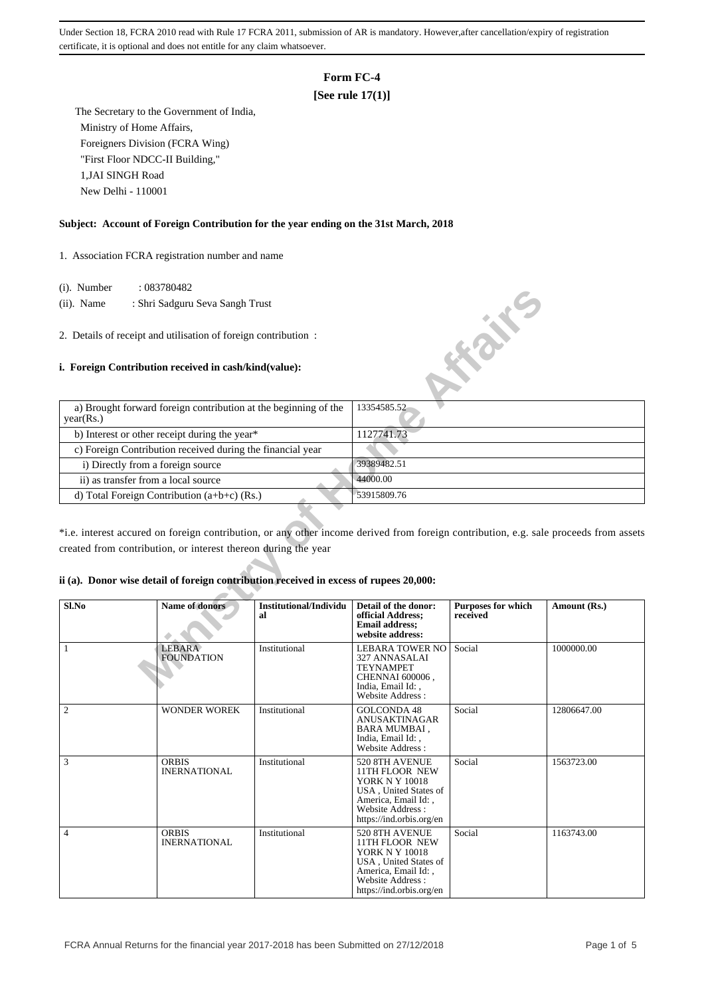# **Form FC-4**

# **[See rule 17(1)]**

 The Secretary to the Government of India, Ministry of Home Affairs, Foreigners Division (FCRA Wing) "First Floor NDCC-II Building," 1,JAI SINGH Road New Delhi - 110001

## **Subject: Account of Foreign Contribution for the year ending on the 31st March, 2018**

1. Association FCRA registration number and name

- (i). Number : 083780482
- (ii). Name : Shri Sadguru Seva Sangh Trust
- 2. Details of receipt and utilisation of foreign contribution :

## **i. Foreign Contribution received in cash/kind(value):**

| $(1)$ . Trumber                                            | .003100402                                                                                                                                                                                              |                                     |                                                                                                    |                                       |              |
|------------------------------------------------------------|---------------------------------------------------------------------------------------------------------------------------------------------------------------------------------------------------------|-------------------------------------|----------------------------------------------------------------------------------------------------|---------------------------------------|--------------|
| $(ii)$ . Name                                              | : Shri Sadguru Seva Sangh Trust                                                                                                                                                                         |                                     |                                                                                                    |                                       |              |
|                                                            | 2. Details of receipt and utilisation of foreign contribution:                                                                                                                                          |                                     |                                                                                                    | <b>SERIES</b>                         |              |
|                                                            | i. Foreign Contribution received in cash/kind(value):                                                                                                                                                   |                                     |                                                                                                    |                                       |              |
| year(Rs.)                                                  | a) Brought forward foreign contribution at the beginning of the                                                                                                                                         |                                     | 13354585.52                                                                                        |                                       |              |
|                                                            | b) Interest or other receipt during the year*                                                                                                                                                           |                                     | 1127741.73                                                                                         |                                       |              |
| c) Foreign Contribution received during the financial year |                                                                                                                                                                                                         |                                     |                                                                                                    |                                       |              |
| i) Directly from a foreign source                          |                                                                                                                                                                                                         | 39389482.51                         |                                                                                                    |                                       |              |
| ii) as transfer from a local source                        |                                                                                                                                                                                                         | 44000.00                            |                                                                                                    |                                       |              |
|                                                            | d) Total Foreign Contribution $(a+b+c)$ (Rs.)                                                                                                                                                           |                                     | 53915809.76                                                                                        |                                       |              |
|                                                            | *i.e. interest accured on foreign contribution, or any other income derived from foreign contribution, e.g. sale proceeds from assets<br>created from contribution, or interest thereon during the year |                                     |                                                                                                    |                                       |              |
|                                                            | ii (a). Donor wise detail of foreign contribution received in excess of rupees 20,000:                                                                                                                  |                                     |                                                                                                    |                                       |              |
| Sl.No                                                      | Name of donors                                                                                                                                                                                          | <b>Institutional/Individu</b><br>al | Detail of the donor:<br>official Address;<br><b>Email address:</b><br>website address:             | <b>Purposes for which</b><br>received | Amount (Rs.) |
| 1                                                          | <b>LEBARA</b><br><b>FOUNDATION</b>                                                                                                                                                                      | Institutional                       | <b>LEBARA TOWER NO</b><br>327 ANNASALAI<br><b>TEYNAMPET</b><br>CHENNAI 600006,<br>India. Email Id: | Social                                | 1000000.00   |

#### **ii (a). Donor wise detail of foreign contribution received in excess of rupees 20,000:**

| Sl.No          | Name of donors                      | Institutional/Individu<br>al | Detail of the donor:<br>official Address;<br><b>Email address:</b><br>website address:                                                             | <b>Purposes for which</b><br>received | Amount (Rs.) |
|----------------|-------------------------------------|------------------------------|----------------------------------------------------------------------------------------------------------------------------------------------------|---------------------------------------|--------------|
| 1              | <b>LEBARA</b><br><b>FOUNDATION</b>  | Institutional                | <b>LEBARA TOWER NO</b><br>327 ANNASALAI<br><b>TEYNAMPET</b><br>CHENNAI 600006,<br>India, Email Id:,<br>Website Address:                            | Social                                | 1000000.00   |
| $\overline{2}$ | <b>WONDER WOREK</b>                 | Institutional                | <b>GOLCONDA 48</b><br><b>ANUSAKTINAGAR</b><br><b>BARA MUMBAI,</b><br>India, Email Id:,<br>Website Address:                                         | Social                                | 12806647.00  |
| 3              | <b>ORBIS</b><br><b>INERNATIONAL</b> | Institutional                | 520 8TH AVENUE<br>11TH FLOOR NEW<br>YORK N Y 10018<br>USA, United States of<br>America, Email Id:,<br>Website Address:<br>https://ind.orbis.org/en | Social                                | 1563723.00   |
| $\overline{4}$ | <b>ORBIS</b><br><b>INERNATIONAL</b> | Institutional                | 520 8TH AVENUE<br>11TH FLOOR NEW<br>YORK N Y 10018<br>USA, United States of<br>America, Email Id:,<br>Website Address:<br>https://ind.orbis.org/en | Social                                | 1163743.00   |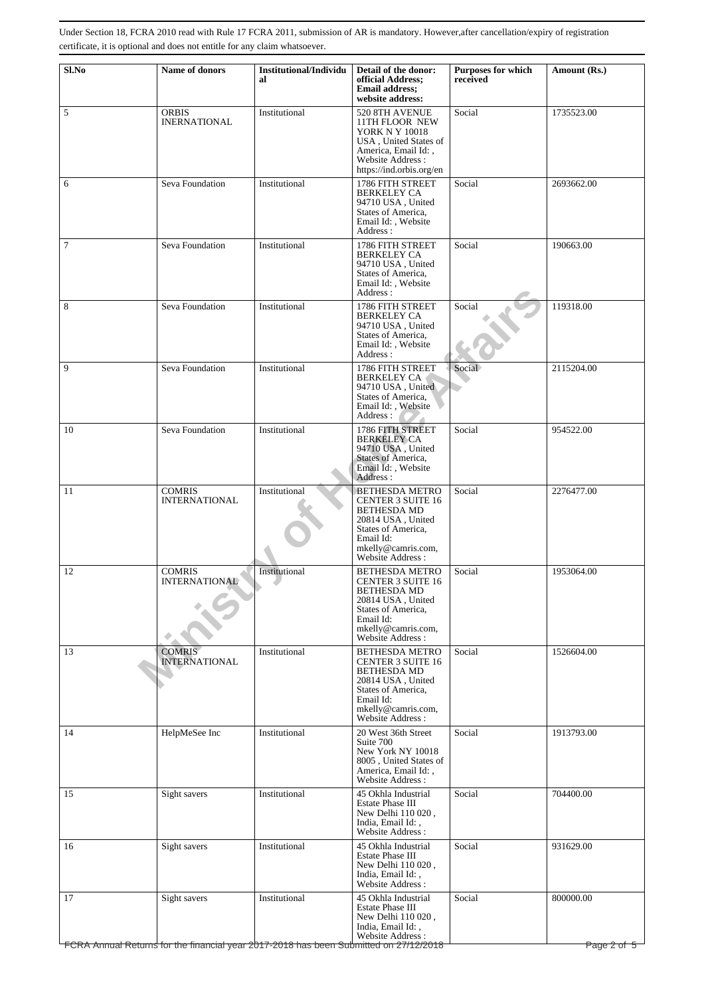| Sl.No      | Name of donors                                                                                        | <b>Institutional/Individu</b><br>al | Detail of the donor:<br>official Address;<br><b>Email address:</b><br>website address:                                                                                     | <b>Purposes for which</b><br>received | Amount (Rs.)             |
|------------|-------------------------------------------------------------------------------------------------------|-------------------------------------|----------------------------------------------------------------------------------------------------------------------------------------------------------------------------|---------------------------------------|--------------------------|
| $\sqrt{5}$ | <b>ORBIS</b><br><b>INERNATIONAL</b>                                                                   | Institutional                       | 520 8TH AVENUE<br>11TH FLOOR NEW<br>YORK N Y 10018<br>USA, United States of<br>America, Email Id:,<br>Website Address:<br>https://ind.orbis.org/en                         | Social                                | 1735523.00               |
| 6          | Seva Foundation                                                                                       | Institutional                       | 1786 FITH STREET<br><b>BERKELEY CA</b><br>94710 USA, United<br>States of America,<br>Email Id:, Website<br>Address:                                                        | Social                                | 2693662.00               |
| 7          | Seva Foundation                                                                                       | Institutional                       | 1786 FITH STREET<br><b>BERKELEY CA</b><br>94710 USA, United<br>States of America,<br>Email Id:, Website<br>Address:                                                        | Social                                | 190663.00                |
| 8          | Seva Foundation                                                                                       | Institutional                       | 1786 FITH STREET<br><b>BERKELEY CA</b><br>94710 USA, United<br>States of America,<br>Email Id:, Website<br>Address:                                                        | Social                                | 119318.00                |
| 9          | Seva Foundation                                                                                       | Institutional                       | 1786 FITH STREET<br><b>BERKELEY CA</b><br>94710 USA, United<br>States of America.<br>Email Id:, Website<br>Address :                                                       | Social                                | 2115204.00               |
| 10         | Seva Foundation                                                                                       | Institutional                       | 1786 FITH STREET<br><b>BERKELEY CA</b><br>94710 USA, United<br>States of America,<br>Email Id:, Website<br>Address:                                                        | Social                                | 954522.00                |
| 11         | <b>COMRIS</b><br><b>INTERNATIONAL</b>                                                                 | Institutional                       | <b>BETHESDA METRO</b><br><b>CENTER 3 SUITE 16</b><br><b>BETHESDA MD</b><br>20814 USA, United<br>States of America,<br>Email Id:<br>mkelly@camris.com,<br>Website Address:  | Social                                | 2276477.00               |
| 12         | <b>COMRIS</b><br><b>INTERNATIONAL</b>                                                                 | Institutional                       | <b>BETHESDA METRO</b><br><b>CENTER 3 SUITE 16</b><br><b>BETHESDA MD</b><br>20814 USA, United<br>States of America,<br>Email Id:<br>mkelly@camris.com,<br>Website Address:  | Social                                | 1953064.00               |
| 13         | <b>COMRIS</b><br><b>INTERNATIONAL</b>                                                                 | Institutional                       | <b>BETHESDA METRO</b><br><b>CENTER 3 SUITE 16</b><br><b>BETHESDA MD</b><br>20814 USA, United<br>States of America,<br>Email Id:<br>mkelly@camris.com,<br>Website Address : | Social                                | 1526604.00               |
| 14         | HelpMeSee Inc                                                                                         | Institutional                       | 20 West 36th Street<br>Suite 700<br>New York NY 10018<br>8005, United States of<br>America, Email Id:,<br>Website Address:                                                 | Social                                | 1913793.00               |
| 15         | Sight savers                                                                                          | Institutional                       | 45 Okhla Industrial<br>Estate Phase III<br>New Delhi 110 020,<br>India, Email Id:,<br>Website Address:                                                                     | Social                                | 704400.00                |
| 16         | Sight savers                                                                                          | Institutional                       | 45 Okhla Industrial<br>Estate Phase III<br>New Delhi 110 020,<br>India, Email Id:,<br><b>Website Address:</b>                                                              | Social                                | 931629.00                |
| 17         | Sight savers<br>FCRA Annual Returns for the financial year 2017-2018 has been Submitted on 27/12/2018 | Institutional                       | 45 Okhla Industrial<br>Estate Phase III<br>New Delhi 110 020,<br>India, Email Id:,<br>Website Address:                                                                     | Social                                | 800000.00<br>Page 2 of 5 |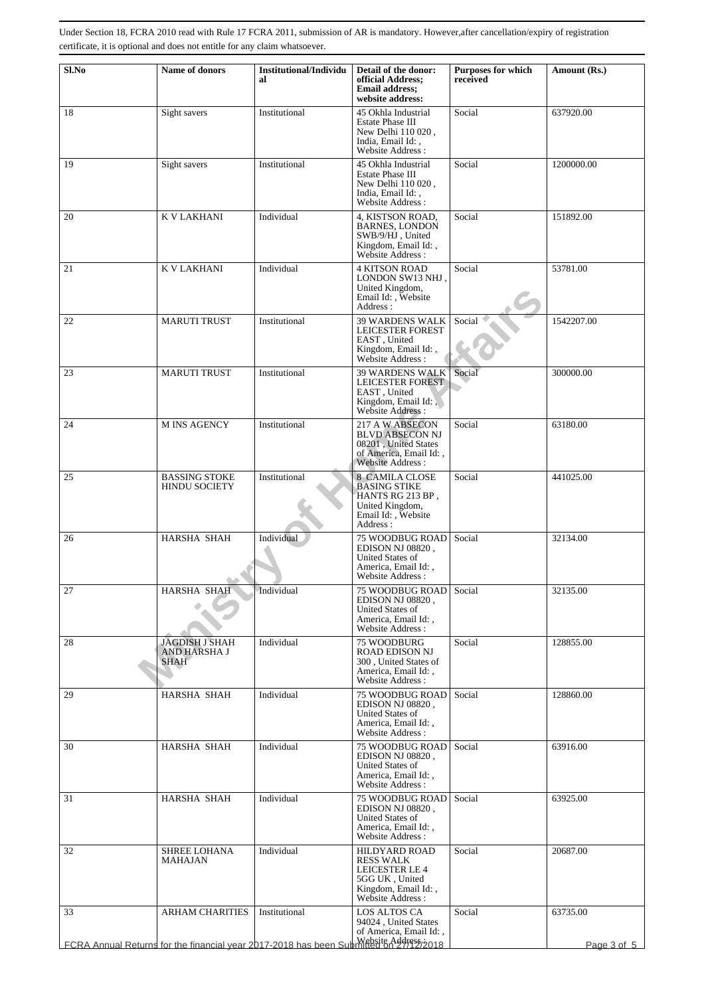| Sl.No | Name of donors                                                                                                   | Institutional/Individu<br>al | Detail of the donor:<br>official Address;<br><b>Email address:</b><br>website address:                                         | Purposes for which<br>received | Amount (Rs.)            |
|-------|------------------------------------------------------------------------------------------------------------------|------------------------------|--------------------------------------------------------------------------------------------------------------------------------|--------------------------------|-------------------------|
| 18    | Sight savers                                                                                                     | Institutional                | 45 Okhla Industrial<br>Estate Phase III<br>New Delhi 110 020,<br>India, Email Id:,<br>Website Address:                         | Social                         | 637920.00               |
| 19    | Sight savers                                                                                                     | Institutional                | 45 Okhla Industrial<br>Estate Phase III<br>New Delhi 110 020,<br>India. Email Id: .<br>Website Address:                        | Social                         | 1200000.00              |
| 20    | K V LAKHANI                                                                                                      | Individual                   | 4, KISTSON ROAD,<br><b>BARNES, LONDON</b><br>SWB/9/HJ, United<br>Kingdom, Email Id:,<br>Website Address:                       | Social                         | 151892.00               |
| 21    | K V LAKHANI                                                                                                      | Individual                   | <b>4 KITSON ROAD</b><br>LONDON SW13 NHJ.<br>United Kingdom,<br>Email Id: , Website<br>Address:                                 | Social                         | 53781.00                |
| 22    | <b>MARUTI TRUST</b>                                                                                              | Institutional                | <b>39 WARDENS WALK</b><br><b>LEICESTER FOREST</b><br>EAST, United<br>Kingdom, Email Id:,<br>Website Address:                   | Social                         | 1542207.00              |
| 23    | <b>MARUTI TRUST</b>                                                                                              | Institutional                | <b>39 WARDENS WALK</b><br><b>LEICESTER FOREST</b><br>EAST, United<br>Kingdom, Email Id:<br>Website Address:                    | Social                         | 300000.00               |
| 24    | <b>M INS AGENCY</b>                                                                                              | Institutional                | 217 A W ABSECON<br><b>BLVD ABSECON NJ</b><br>08201, United States<br>of America, Email Id:,<br><b>Website Address:</b>         | Social                         | 63180.00                |
| 25    | <b>BASSING STOKE</b><br><b>HINDU SOCIETY</b>                                                                     | Institutional                | <b>8 CAMILA CLOSE</b><br><b>BASING STIKE</b><br>HANTS RG 213 BP,<br>United Kingdom,<br>Email Id:, Website<br>Address:          | Social                         | 441025.00               |
| 26    | HARSHA SHAH                                                                                                      | Individual                   | <b>75 WOODBUG ROAD</b><br>EDISON NJ 08820.<br><b>United States of</b><br>America, Email Id:,<br>Website Address:               | Social                         | 32134.00                |
| 27    | HARSHA SHAH                                                                                                      | Individual                   | 75 WOODBUG ROAD  <br>EDISON NJ 08820,<br><b>United States of</b><br>America. Email Id: .<br>Website Address:                   | Social                         | 32135.00                |
| 28    | JAGDISH J SHAH<br><b>AND HARSHA J</b><br><b>SHAH</b>                                                             | Individual                   | 75 WOODBURG<br><b>ROAD EDISON NJ</b><br>300, United States of<br>America, Email Id:,<br>Website Address:                       | Social                         | 128855.00               |
| 29    | HARSHA SHAH                                                                                                      | Individual                   | <b>75 WOODBUG ROAD</b><br>EDISON NJ 08820,<br>United States of<br>America, Email Id:,<br>Website Address:                      | Social                         | 128860.00               |
| 30    | HARSHA SHAH                                                                                                      | Individual                   | <b>75 WOODBUG ROAD</b><br>EDISON NJ 08820,<br><b>United States of</b><br>America, Email Id:,<br>Website Address:               | Social                         | 63916.00                |
| 31    | HARSHA SHAH                                                                                                      | Individual                   | <b>75 WOODBUG ROAD</b><br>EDISON NJ 08820,<br>United States of<br>America, Email Id:,<br>Website Address:                      | Social                         | 63925.00                |
| 32    | SHREE LOHANA<br>MAHAJAN                                                                                          | Individual                   | <b>HILDYARD ROAD</b><br><b>RESS WALK</b><br><b>LEICESTER LE 4</b><br>5GG UK, United<br>Kingdom, Email Id:,<br>Website Address: | Social                         | 20687.00                |
| 33    | <b>ARHAM CHARITIES</b><br>FCRA Annual Returns for the financial year 2017-2018 has been Submitted on 2719 2/2018 | Institutional                | <b>LOS ALTOS CA</b><br>94024, United States<br>of America, Email Id:,                                                          | Social                         | 63735.00<br>Page 3 of 5 |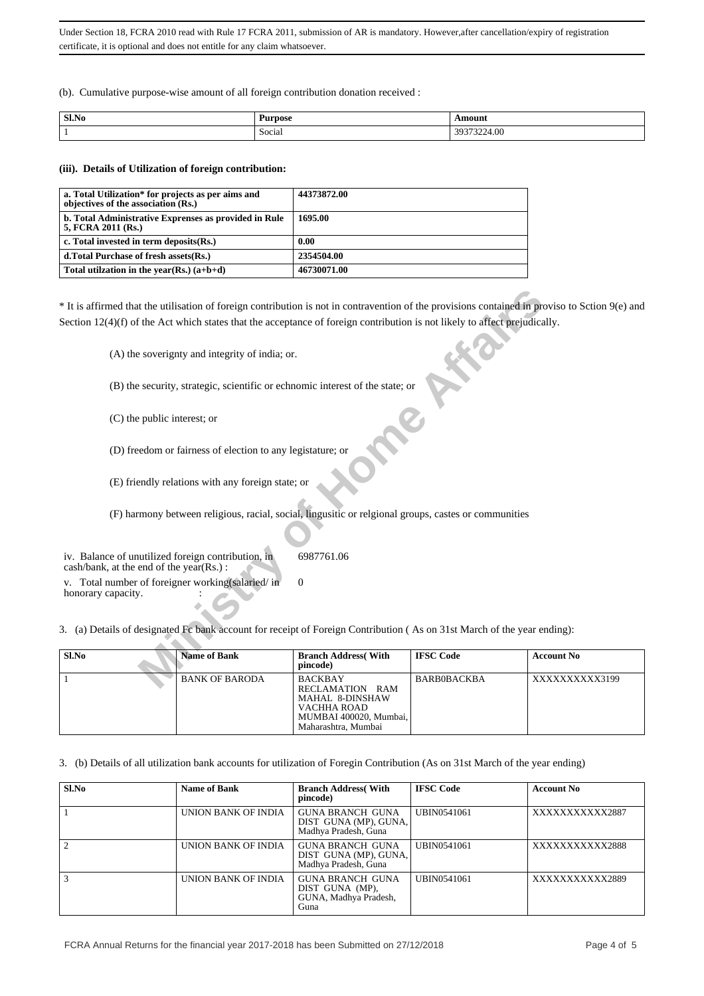(b). Cumulative purpose-wise amount of all foreign contribution donation received :

| Sl.No | <b>Durnoso</b><br>wust<br>$\sim$ $\sim$ | <b>\mount</b>                              |
|-------|-----------------------------------------|--------------------------------------------|
|       | Social<br>.                             | $\sim$ $\sim$<br>$20^{\circ}$<br>T.VV<br>. |

#### **(iii). Details of Utilization of foreign contribution:**

| a. Total Utilization* for projects as per aims and<br>objectives of the association (Rs.) | 44373872.00 |
|-------------------------------------------------------------------------------------------|-------------|
| b. Total Administrative Exprenses as provided in Rule<br>5, FCRA 2011 (Rs.)               | 1695.00     |
| c. Total invested in term deposits (Rs.)                                                  | 0.00        |
| d. Total Purchase of fresh assets (Rs.)                                                   | 2354504.00  |
| Total utilization in the year(Rs.) $(a+b+d)$                                              | 46730071.00 |

- (A) the soverignty and integrity of india; or.
- (B) the security, strategic, scientific or echnomic interest of the state; or
- (C) the public interest; or
- (D) freedom or fairness of election to any legistature; or
- (E) friendly relations with any foreign state; or
- (F) harmony between religious, racial, social, lingusitic or relgional groups, castes or communities

| iv. Balance of unutilized foreign contribution, in<br>$\cosh/bank$ , at the end of the year(Rs.): | 6987761 |
|---------------------------------------------------------------------------------------------------|---------|
| v. Total number of foreigner working (salaried/in<br>honorary capacity.                           |         |

| * It is affirmed that the utilisation of foreign contribution is not in contravention of the provisions contained in proviso to Sction 9(e) and |                                                                                                                      |                    |                   |
|-------------------------------------------------------------------------------------------------------------------------------------------------|----------------------------------------------------------------------------------------------------------------------|--------------------|-------------------|
| Section 12(4)(f) of the Act which states that the acceptance of foreign contribution is not likely to affect prejudically.                      |                                                                                                                      |                    |                   |
| (A) the soverignty and integrity of india; or.                                                                                                  |                                                                                                                      |                    |                   |
| (B) the security, strategic, scientific or echnomic interest of the state; or                                                                   |                                                                                                                      |                    |                   |
| (C) the public interest; or                                                                                                                     |                                                                                                                      |                    |                   |
| (D) freedom or fairness of election to any legistature; or                                                                                      |                                                                                                                      |                    |                   |
| (E) friendly relations with any foreign state; or                                                                                               |                                                                                                                      |                    |                   |
| (F) harmony between religious, racial, social, lingusitic or relgional groups, castes or communities                                            |                                                                                                                      |                    |                   |
| iv. Balance of unutilized foreign contribution, in<br>cash/bank, at the end of the year(Rs.):                                                   | 6987761.06                                                                                                           |                    |                   |
| v. Total number of foreigner working(salaried/in<br>honorary capacity.                                                                          | $\Omega$                                                                                                             |                    |                   |
| 3. (a) Details of designated Fc bank account for receipt of Foreign Contribution (As on 31st March of the year ending):                         |                                                                                                                      |                    |                   |
| $Sl$ .No<br>Name of Bank                                                                                                                        | <b>Branch Address</b> (With<br>pincode)                                                                              | <b>IFSC Code</b>   | <b>Account No</b> |
| <b>BANK OF BARODA</b><br>$\mathbf{1}$                                                                                                           | <b>BACKBAY</b><br>RECLAMATION RAM<br>MAHAL 8-DINSHAW<br>VACHHA ROAD<br>MUMBAI 400020, Mumbai,<br>Maharashtra, Mumbai | <b>BARB0BACKBA</b> | XXXXXXXXX3199     |

#### 3. (b) Details of all utilization bank accounts for utilization of Foregin Contribution (As on 31st March of the year ending)

| Sl.No | <b>Name of Bank</b> | <b>Branch Address With</b><br>pincode)                                      | <b>IFSC Code</b> | <b>Account No</b> |
|-------|---------------------|-----------------------------------------------------------------------------|------------------|-------------------|
|       | UNION BANK OF INDIA | <b>GUNA BRANCH GUNA</b><br>DIST GUNA (MP), GUNA,<br>Madhya Pradesh, Guna    | UBIN0541061      | XXXXXXXXXXX2887   |
|       | UNION BANK OF INDIA | <b>GUNA BRANCH GUNA</b><br>DIST GUNA (MP), GUNA,  <br>Madhya Pradesh, Guna  | UBIN0541061      | XXXXXXXXXXX2888   |
|       | UNION BANK OF INDIA | <b>GUNA BRANCH GUNA</b><br>DIST GUNA (MP),<br>GUNA, Madhya Pradesh,<br>Guna | UBIN0541061      | XXXXXXXXXXX2889   |